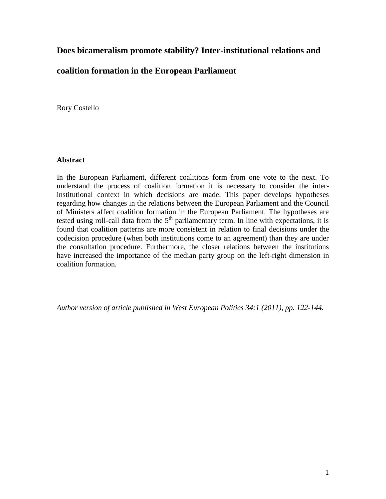# **Does bicameralism promote stability? Inter-institutional relations and**

# **coalition formation in the European Parliament**

Rory Costello

## **Abstract**

In the European Parliament, different coalitions form from one vote to the next. To understand the process of coalition formation it is necessary to consider the interinstitutional context in which decisions are made. This paper develops hypotheses regarding how changes in the relations between the European Parliament and the Council of Ministers affect coalition formation in the European Parliament. The hypotheses are tested using roll-call data from the  $5<sup>th</sup>$  parliamentary term. In line with expectations, it is found that coalition patterns are more consistent in relation to final decisions under the codecision procedure (when both institutions come to an agreement) than they are under the consultation procedure. Furthermore, the closer relations between the institutions have increased the importance of the median party group on the left-right dimension in coalition formation.

*Author version of article published in West European Politics 34:1 (2011), pp. 122-144.*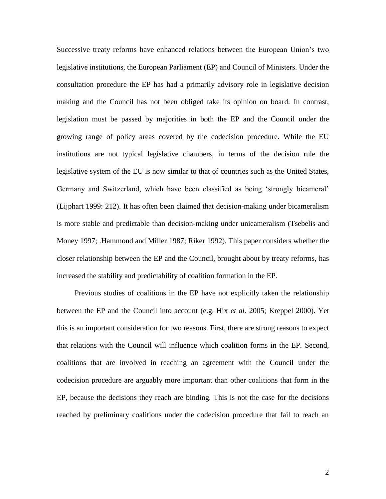Successive treaty reforms have enhanced relations between the European Union's two legislative institutions, the European Parliament (EP) and Council of Ministers. Under the consultation procedure the EP has had a primarily advisory role in legislative decision making and the Council has not been obliged take its opinion on board. In contrast, legislation must be passed by majorities in both the EP and the Council under the growing range of policy areas covered by the codecision procedure. While the EU institutions are not typical legislative chambers, in terms of the decision rule the legislative system of the EU is now similar to that of countries such as the United States, Germany and Switzerland, which have been classified as being 'strongly bicameral' (Lijphart 1999: 212). It has often been claimed that decision-making under bicameralism is more stable and predictable than decision-making under unicameralism (Tsebelis and Money 1997; .Hammond and Miller 1987; Riker 1992). This paper considers whether the closer relationship between the EP and the Council, brought about by treaty reforms, has increased the stability and predictability of coalition formation in the EP.

Previous studies of coalitions in the EP have not explicitly taken the relationship between the EP and the Council into account (e.g. Hix *et al.* 2005; Kreppel 2000). Yet this is an important consideration for two reasons. First, there are strong reasons to expect that relations with the Council will influence which coalition forms in the EP. Second, coalitions that are involved in reaching an agreement with the Council under the codecision procedure are arguably more important than other coalitions that form in the EP, because the decisions they reach are binding. This is not the case for the decisions reached by preliminary coalitions under the codecision procedure that fail to reach an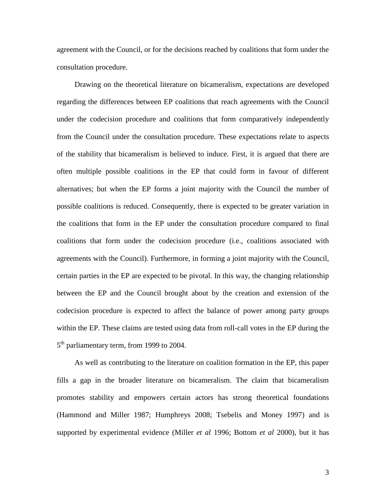agreement with the Council, or for the decisions reached by coalitions that form under the consultation procedure.

Drawing on the theoretical literature on bicameralism, expectations are developed regarding the differences between EP coalitions that reach agreements with the Council under the codecision procedure and coalitions that form comparatively independently from the Council under the consultation procedure. These expectations relate to aspects of the stability that bicameralism is believed to induce. First, it is argued that there are often multiple possible coalitions in the EP that could form in favour of different alternatives; but when the EP forms a joint majority with the Council the number of possible coalitions is reduced. Consequently, there is expected to be greater variation in the coalitions that form in the EP under the consultation procedure compared to final coalitions that form under the codecision procedure (i.e., coalitions associated with agreements with the Council). Furthermore, in forming a joint majority with the Council, certain parties in the EP are expected to be pivotal. In this way, the changing relationship between the EP and the Council brought about by the creation and extension of the codecision procedure is expected to affect the balance of power among party groups within the EP. These claims are tested using data from roll-call votes in the EP during the 5<sup>th</sup> parliamentary term, from 1999 to 2004.

As well as contributing to the literature on coalition formation in the EP, this paper fills a gap in the broader literature on bicameralism. The claim that bicameralism promotes stability and empowers certain actors has strong theoretical foundations (Hammond and Miller 1987; Humphreys 2008; Tsebelis and Money 1997) and is supported by experimental evidence (Miller *et al* 1996; Bottom *et al* 2000), but it has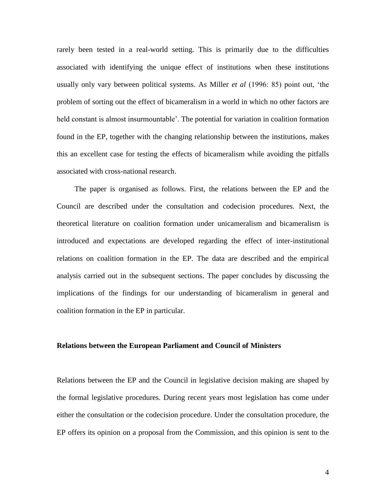rarely been tested in a real-world setting. This is primarily due to the difficulties associated with identifying the unique effect of institutions when these institutions usually only vary between political systems. As Miller *et al* (1996: 85) point out, 'the problem of sorting out the effect of bicameralism in a world in which no other factors are held constant is almost insurmountable'. The potential for variation in coalition formation found in the EP, together with the changing relationship between the institutions, makes this an excellent case for testing the effects of bicameralism while avoiding the pitfalls associated with cross-national research.

The paper is organised as follows. First, the relations between the EP and the Council are described under the consultation and codecision procedures. Next, the theoretical literature on coalition formation under unicameralism and bicameralism is introduced and expectations are developed regarding the effect of inter-institutional relations on coalition formation in the EP. The data are described and the empirical analysis carried out in the subsequent sections. The paper concludes by discussing the implications of the findings for our understanding of bicameralism in general and coalition formation in the EP in particular.

### **Relations between the European Parliament and Council of Ministers**

Relations between the EP and the Council in legislative decision making are shaped by the formal legislative procedures. During recent years most legislation has come under either the consultation or the codecision procedure. Under the consultation procedure, the EP offers its opinion on a proposal from the Commission, and this opinion is sent to the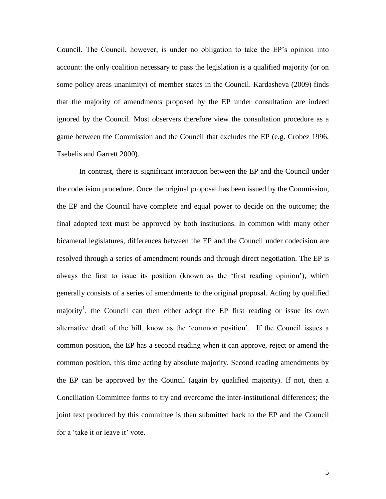Council. The Council, however, is under no obligation to take the EP's opinion into account: the only coalition necessary to pass the legislation is a qualified majority (or on some policy areas unanimity) of member states in the Council. Kardasheva (2009) finds that the majority of amendments proposed by the EP under consultation are indeed ignored by the Council. Most observers therefore view the consultation procedure as a game between the Commission and the Council that excludes the EP (e.g. Crobez 1996, Tsebelis and Garrett 2000).

In contrast, there is significant interaction between the EP and the Council under the codecision procedure. Once the original proposal has been issued by the Commission, the EP and the Council have complete and equal power to decide on the outcome; the final adopted text must be approved by both institutions. In common with many other bicameral legislatures, differences between the EP and the Council under codecision are resolved through a series of amendment rounds and through direct negotiation. The EP is always the first to issue its position (known as the 'first reading opinion'), which generally consists of a series of amendments to the original proposal. Acting by qualified majority<sup>1</sup>, the Council can then either adopt the EP first reading or issue its own alternative draft of the bill, know as the 'common position'. If the Council issues a common position, the EP has a second reading when it can approve, reject or amend the common position, this time acting by absolute majority. Second reading amendments by the EP can be approved by the Council (again by qualified majority). If not, then a Conciliation Committee forms to try and overcome the inter-institutional differences; the joint text produced by this committee is then submitted back to the EP and the Council for a 'take it or leave it' vote.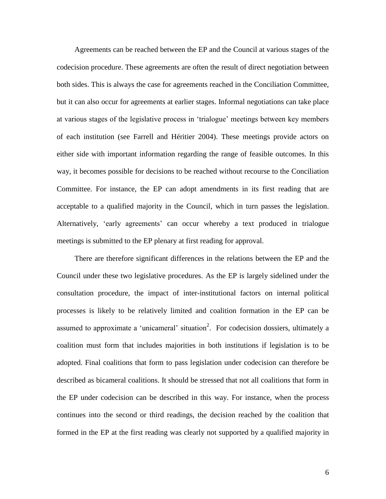Agreements can be reached between the EP and the Council at various stages of the codecision procedure. These agreements are often the result of direct negotiation between both sides. This is always the case for agreements reached in the Conciliation Committee, but it can also occur for agreements at earlier stages. Informal negotiations can take place at various stages of the legislative process in 'trialogue' meetings between key members of each institution (see Farrell and Héritier 2004). These meetings provide actors on either side with important information regarding the range of feasible outcomes. In this way, it becomes possible for decisions to be reached without recourse to the Conciliation Committee. For instance, the EP can adopt amendments in its first reading that are acceptable to a qualified majority in the Council, which in turn passes the legislation. Alternatively, 'early agreements' can occur whereby a text produced in trialogue meetings is submitted to the EP plenary at first reading for approval.

There are therefore significant differences in the relations between the EP and the Council under these two legislative procedures. As the EP is largely sidelined under the consultation procedure, the impact of inter-institutional factors on internal political processes is likely to be relatively limited and coalition formation in the EP can be assumed to approximate a 'unicameral' situation<sup>2</sup>. For codecision dossiers, ultimately a coalition must form that includes majorities in both institutions if legislation is to be adopted. Final coalitions that form to pass legislation under codecision can therefore be described as bicameral coalitions. It should be stressed that not all coalitions that form in the EP under codecision can be described in this way. For instance, when the process continues into the second or third readings, the decision reached by the coalition that formed in the EP at the first reading was clearly not supported by a qualified majority in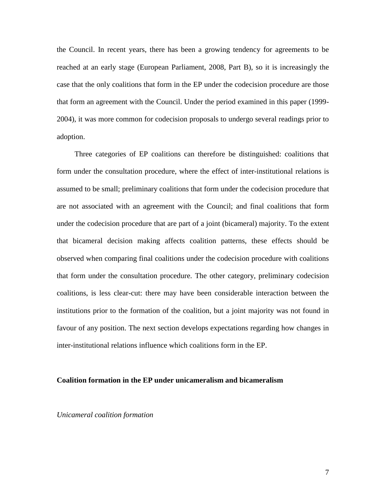the Council. In recent years, there has been a growing tendency for agreements to be reached at an early stage (European Parliament, 2008, Part B), so it is increasingly the case that the only coalitions that form in the EP under the codecision procedure are those that form an agreement with the Council. Under the period examined in this paper (1999- 2004), it was more common for codecision proposals to undergo several readings prior to adoption.

Three categories of EP coalitions can therefore be distinguished: coalitions that form under the consultation procedure, where the effect of inter-institutional relations is assumed to be small; preliminary coalitions that form under the codecision procedure that are not associated with an agreement with the Council; and final coalitions that form under the codecision procedure that are part of a joint (bicameral) majority. To the extent that bicameral decision making affects coalition patterns, these effects should be observed when comparing final coalitions under the codecision procedure with coalitions that form under the consultation procedure. The other category, preliminary codecision coalitions, is less clear-cut: there may have been considerable interaction between the institutions prior to the formation of the coalition, but a joint majority was not found in favour of any position. The next section develops expectations regarding how changes in inter-institutional relations influence which coalitions form in the EP.

#### **Coalition formation in the EP under unicameralism and bicameralism**

*Unicameral coalition formation*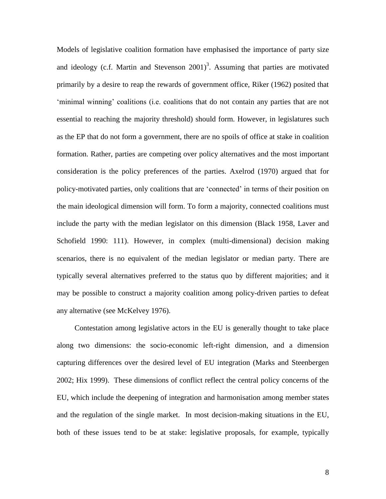Models of legislative coalition formation have emphasised the importance of party size and ideology (c.f. Martin and Stevenson  $2001$ )<sup>3</sup>. Assuming that parties are motivated primarily by a desire to reap the rewards of government office, Riker (1962) posited that 'minimal winning' coalitions (i.e. coalitions that do not contain any parties that are not essential to reaching the majority threshold) should form. However, in legislatures such as the EP that do not form a government, there are no spoils of office at stake in coalition formation. Rather, parties are competing over policy alternatives and the most important consideration is the policy preferences of the parties. Axelrod (1970) argued that for policy-motivated parties, only coalitions that are 'connected' in terms of their position on the main ideological dimension will form. To form a majority, connected coalitions must include the party with the median legislator on this dimension (Black 1958, Laver and Schofield 1990: 111). However, in complex (multi-dimensional) decision making scenarios, there is no equivalent of the median legislator or median party. There are typically several alternatives preferred to the status quo by different majorities; and it may be possible to construct a majority coalition among policy-driven parties to defeat any alternative (see McKelvey 1976).

Contestation among legislative actors in the EU is generally thought to take place along two dimensions: the socio-economic left-right dimension, and a dimension capturing differences over the desired level of EU integration (Marks and Steenbergen 2002; Hix 1999). These dimensions of conflict reflect the central policy concerns of the EU, which include the deepening of integration and harmonisation among member states and the regulation of the single market. In most decision-making situations in the EU, both of these issues tend to be at stake: legislative proposals, for example, typically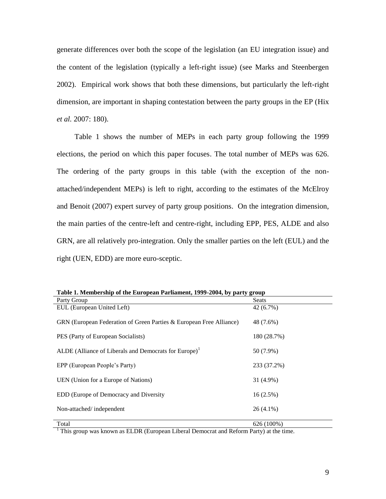generate differences over both the scope of the legislation (an EU integration issue) and the content of the legislation (typically a left-right issue) (see Marks and Steenbergen 2002). Empirical work shows that both these dimensions, but particularly the left-right dimension, are important in shaping contestation between the party groups in the EP (Hix *et al.* 2007: 180).

Table 1 shows the number of MEPs in each party group following the 1999 elections, the period on which this paper focuses. The total number of MEPs was 626. The ordering of the party groups in this table (with the exception of the nonattached/independent MEPs) is left to right, according to the estimates of the McElroy and Benoit (2007) expert survey of party group positions. On the integration dimension, the main parties of the centre-left and centre-right, including EPP, PES, ALDE and also GRN, are all relatively pro-integration. Only the smaller parties on the left (EUL) and the right (UEN, EDD) are more euro-sceptic.

| Table 1. Membership of the European Farmanient, 1777-2004, by party group |             |  |  |  |  |  |
|---------------------------------------------------------------------------|-------------|--|--|--|--|--|
| Party Group                                                               | Seats       |  |  |  |  |  |
| EUL (European United Left)                                                | 42 (6.7%)   |  |  |  |  |  |
| GRN (European Federation of Green Parties & European Free Alliance)       | 48 (7.6%)   |  |  |  |  |  |
| PES (Party of European Socialists)                                        | 180 (28.7%) |  |  |  |  |  |
| ALDE (Alliance of Liberals and Democrats for Europe) <sup>1</sup>         | 50 (7.9%)   |  |  |  |  |  |
| EPP (European People's Party)                                             | 233 (37.2%) |  |  |  |  |  |
| UEN (Union for a Europe of Nations)                                       | 31 (4.9%)   |  |  |  |  |  |
| EDD (Europe of Democracy and Diversity                                    | $16(2.5\%)$ |  |  |  |  |  |
| Non-attached/independent                                                  | $26(4.1\%)$ |  |  |  |  |  |
| Total                                                                     | 626 (100%)  |  |  |  |  |  |

**Table 1. Membership of the European Parliament, 1999-2004, by party group**

<sup>1</sup> This group was known as ELDR (European Liberal Democrat and Reform Party) at the time.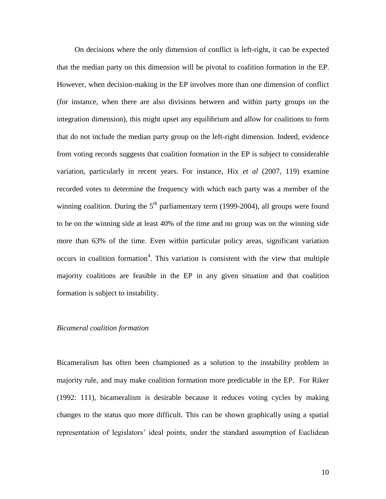On decisions where the only dimension of conflict is left-right, it can be expected that the median party on this dimension will be pivotal to coalition formation in the EP. However, when decision-making in the EP involves more than one dimension of conflict (for instance, when there are also divisions between and within party groups on the integration dimension), this might upset any equilibrium and allow for coalitions to form that do not include the median party group on the left-right dimension. Indeed, evidence from voting records suggests that coalition formation in the EP is subject to considerable variation, particularly in recent years. For instance, Hix *et al* (2007, 119) examine recorded votes to determine the frequency with which each party was a member of the winning coalition. During the  $5<sup>th</sup>$  parliamentary term (1999-2004), all groups were found to be on the winning side at least 40% of the time and no group was on the winning side more than 63% of the time. Even within particular policy areas, significant variation occurs in coalition formation<sup>4</sup>. This variation is consistent with the view that multiple majority coalitions are feasible in the EP in any given situation and that coalition formation is subject to instability.

## *Bicameral coalition formation*

Bicameralism has often been championed as a solution to the instability problem in majority rule, and may make coalition formation more predictable in the EP. For Riker (1992: 111), bicameralism is desirable because it reduces voting cycles by making changes to the status quo more difficult. This can be shown graphically using a spatial representation of legislators' ideal points, under the standard assumption of Euclidean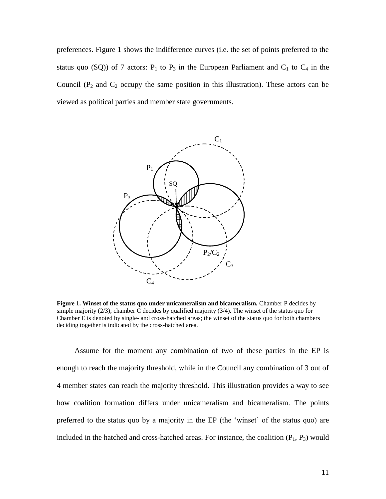preferences. Figure 1 shows the indifference curves (i.e. the set of points preferred to the status quo (SQ)) of 7 actors:  $P_1$  to  $P_3$  in the European Parliament and  $C_1$  to  $C_4$  in the Council ( $P_2$  and  $C_2$  occupy the same position in this illustration). These actors can be viewed as political parties and member state governments.



**Figure 1. Winset of the status quo under unicameralism and bicameralism.** Chamber P decides by simple majority  $(2/3)$ ; chamber C decides by qualified majority  $(3/4)$ . The winset of the status quo for Chamber E is denoted by single- and cross-hatched areas; the winset of the status quo for both chambers deciding together is indicated by the cross-hatched area.

Assume for the moment any combination of two of these parties in the EP is enough to reach the majority threshold, while in the Council any combination of 3 out of 4 member states can reach the majority threshold. This illustration provides a way to see how coalition formation differs under unicameralism and bicameralism. The points preferred to the status quo by a majority in the EP (the 'winset' of the status quo) are included in the hatched and cross-hatched areas. For instance, the coalition  $(P_1, P_3)$  would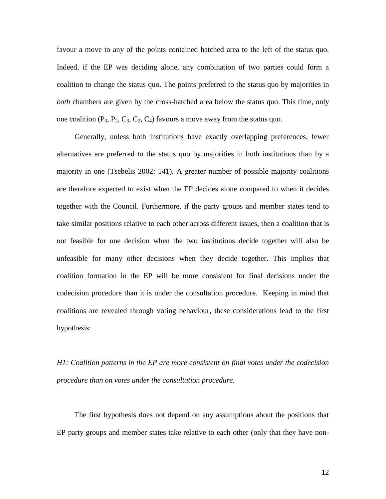favour a move to any of the points contained hatched area to the left of the status quo. Indeed, if the EP was deciding alone, any combination of two parties could form a coalition to change the status quo. The points preferred to the status quo by majorities in *both* chambers are given by the cross-hatched area below the status quo. This time, only one coalition  $(P_3, P_2, C_3, C_2, C_4)$  favours a move away from the status quo.

Generally, unless both institutions have exactly overlapping preferences, fewer alternatives are preferred to the status quo by majorities in both institutions than by a majority in one (Tsebelis 2002: 141). A greater number of possible majority coalitions are therefore expected to exist when the EP decides alone compared to when it decides together with the Council. Furthermore, if the party groups and member states tend to take similar positions relative to each other across different issues, then a coalition that is not feasible for one decision when the two institutions decide together will also be unfeasible for many other decisions when they decide together. This implies that coalition formation in the EP will be more consistent for final decisions under the codecision procedure than it is under the consultation procedure. Keeping in mind that coalitions are revealed through voting behaviour, these considerations lead to the first hypothesis:

*H1: Coalition patterns in the EP are more consistent on final votes under the codecision procedure than on votes under the consultation procedure.*

The first hypothesis does not depend on any assumptions about the positions that EP party groups and member states take relative to each other (only that they have non-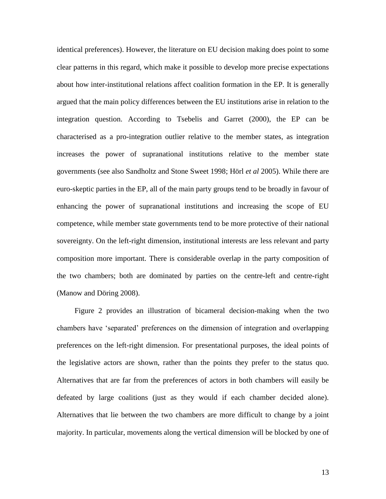identical preferences). However, the literature on EU decision making does point to some clear patterns in this regard, which make it possible to develop more precise expectations about how inter-institutional relations affect coalition formation in the EP. It is generally argued that the main policy differences between the EU institutions arise in relation to the integration question. According to Tsebelis and Garret (2000), the EP can be characterised as a pro-integration outlier relative to the member states, as integration increases the power of supranational institutions relative to the member state governments (see also Sandholtz and Stone Sweet 1998; Hörl *et al* 2005). While there are euro-skeptic parties in the EP, all of the main party groups tend to be broadly in favour of enhancing the power of supranational institutions and increasing the scope of EU competence, while member state governments tend to be more protective of their national sovereignty. On the left-right dimension, institutional interests are less relevant and party composition more important. There is considerable overlap in the party composition of the two chambers; both are dominated by parties on the centre-left and centre-right (Manow and Döring 2008).

Figure 2 provides an illustration of bicameral decision-making when the two chambers have 'separated' preferences on the dimension of integration and overlapping preferences on the left-right dimension. For presentational purposes, the ideal points of the legislative actors are shown, rather than the points they prefer to the status quo. Alternatives that are far from the preferences of actors in both chambers will easily be defeated by large coalitions (just as they would if each chamber decided alone). Alternatives that lie between the two chambers are more difficult to change by a joint majority. In particular, movements along the vertical dimension will be blocked by one of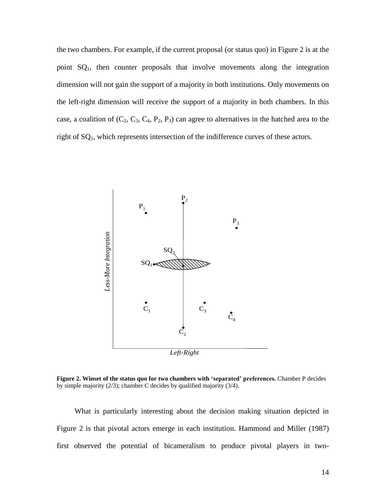the two chambers. For example, if the current proposal (or status quo) in Figure 2 is at the point  $SQ_1$ , then counter proposals that involve movements along the integration dimension will not gain the support of a majority in both institutions. Only movements on the left-right dimension will receive the support of a majority in both chambers. In this case, a coalition of  $(C_2, C_3, C_4, P_2, P_3)$  can agree to alternatives in the hatched area to the right of SQ1, which represents intersection of the indifference curves of these actors.



**Figure 2. Winset of the status quo for two chambers with 'separated' preferences.** Chamber P decides by simple majority (2/3); chamber C decides by qualified majority (3/4).

What is particularly interesting about the decision making situation depicted in Figure 2 is that pivotal actors emerge in each institution. Hammond and Miller (1987) first observed the potential of bicameralism to produce pivotal players in two-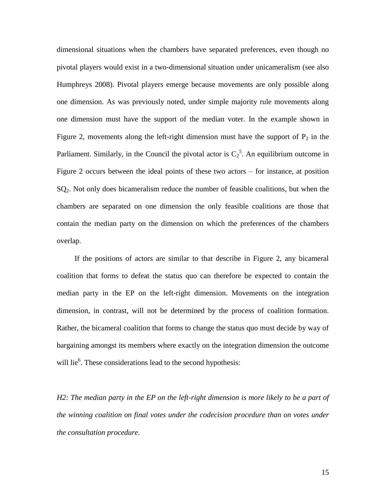dimensional situations when the chambers have separated preferences, even though no pivotal players would exist in a two-dimensional situation under unicameralism (see also Humphreys 2008). Pivotal players emerge because movements are only possible along one dimension. As was previously noted, under simple majority rule movements along one dimension must have the support of the median voter. In the example shown in Figure 2, movements along the left-right dimension must have the support of  $P_2$  in the Parliament. Similarly, in the Council the pivotal actor is  $C_2^5$ . An equilibrium outcome in Figure 2 occurs between the ideal points of these two actors – for instance, at position SQ<sub>2</sub>. Not only does bicameralism reduce the number of feasible coalitions, but when the chambers are separated on one dimension the only feasible coalitions are those that contain the median party on the dimension on which the preferences of the chambers overlap.

If the positions of actors are similar to that describe in Figure 2, any bicameral coalition that forms to defeat the status quo can therefore be expected to contain the median party in the EP on the left-right dimension. Movements on the integration dimension, in contrast, will not be determined by the process of coalition formation. Rather, the bicameral coalition that forms to change the status quo must decide by way of bargaining amongst its members where exactly on the integration dimension the outcome will lie<sup>6</sup>. These considerations lead to the second hypothesis:

*H2: The median party in the EP on the left-right dimension is more likely to be a part of the winning coalition on final votes under the codecision procedure than on votes under the consultation procedure.*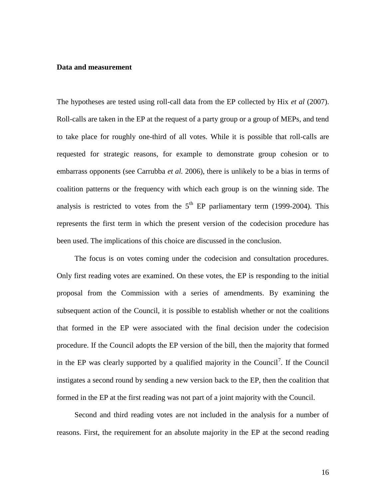#### **Data and measurement**

The hypotheses are tested using roll-call data from the EP collected by Hix *et al* (2007). Roll-calls are taken in the EP at the request of a party group or a group of MEPs, and tend to take place for roughly one-third of all votes. While it is possible that roll-calls are requested for strategic reasons, for example to demonstrate group cohesion or to embarrass opponents (see Carrubba *et al.* 2006), there is unlikely to be a bias in terms of coalition patterns or the frequency with which each group is on the winning side. The analysis is restricted to votes from the  $5<sup>th</sup>$  EP parliamentary term (1999-2004). This represents the first term in which the present version of the codecision procedure has been used. The implications of this choice are discussed in the conclusion.

The focus is on votes coming under the codecision and consultation procedures. Only first reading votes are examined. On these votes, the EP is responding to the initial proposal from the Commission with a series of amendments. By examining the subsequent action of the Council, it is possible to establish whether or not the coalitions that formed in the EP were associated with the final decision under the codecision procedure. If the Council adopts the EP version of the bill, then the majority that formed in the EP was clearly supported by a qualified majority in the Council<sup>7</sup>. If the Council instigates a second round by sending a new version back to the EP, then the coalition that formed in the EP at the first reading was not part of a joint majority with the Council.

Second and third reading votes are not included in the analysis for a number of reasons. First, the requirement for an absolute majority in the EP at the second reading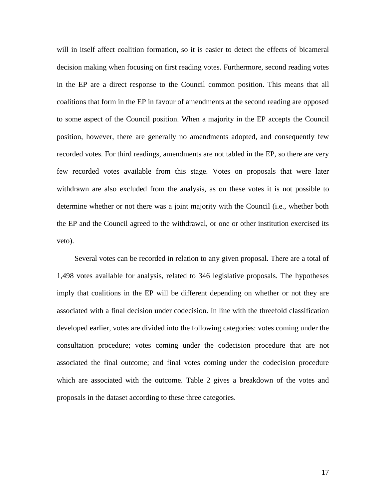will in itself affect coalition formation, so it is easier to detect the effects of bicameral decision making when focusing on first reading votes. Furthermore, second reading votes in the EP are a direct response to the Council common position. This means that all coalitions that form in the EP in favour of amendments at the second reading are opposed to some aspect of the Council position. When a majority in the EP accepts the Council position, however, there are generally no amendments adopted, and consequently few recorded votes. For third readings, amendments are not tabled in the EP, so there are very few recorded votes available from this stage. Votes on proposals that were later withdrawn are also excluded from the analysis, as on these votes it is not possible to determine whether or not there was a joint majority with the Council (i.e., whether both the EP and the Council agreed to the withdrawal, or one or other institution exercised its veto).

Several votes can be recorded in relation to any given proposal. There are a total of 1,498 votes available for analysis, related to 346 legislative proposals. The hypotheses imply that coalitions in the EP will be different depending on whether or not they are associated with a final decision under codecision. In line with the threefold classification developed earlier, votes are divided into the following categories: votes coming under the consultation procedure; votes coming under the codecision procedure that are not associated the final outcome; and final votes coming under the codecision procedure which are associated with the outcome. Table 2 gives a breakdown of the votes and proposals in the dataset according to these three categories.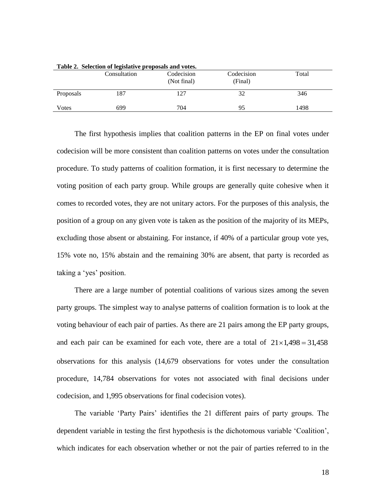|           | Consultation | Codecision<br>(Not final) | Codecision<br>(Final) | Total |
|-----------|--------------|---------------------------|-----------------------|-------|
| Proposals | 187          | 127                       | 32                    | 346   |
| Votes     | 699          | 704                       | 95                    | 1498  |

**Table 2. Selection of legislative proposals and votes.** 

The first hypothesis implies that coalition patterns in the EP on final votes under codecision will be more consistent than coalition patterns on votes under the consultation procedure. To study patterns of coalition formation, it is first necessary to determine the voting position of each party group. While groups are generally quite cohesive when it comes to recorded votes, they are not unitary actors. For the purposes of this analysis, the position of a group on any given vote is taken as the position of the majority of its MEPs, excluding those absent or abstaining. For instance, if 40% of a particular group vote yes, 15% vote no, 15% abstain and the remaining 30% are absent, that party is recorded as taking a 'yes' position.

There are a large number of potential coalitions of various sizes among the seven party groups. The simplest way to analyse patterns of coalition formation is to look at the voting behaviour of each pair of parties. As there are 21 pairs among the EP party groups, and each pair can be examined for each vote, there are a total of  $21 \times 1,498 = 31,458$ observations for this analysis (14,679 observations for votes under the consultation procedure, 14,784 observations for votes not associated with final decisions under codecision, and 1,995 observations for final codecision votes).

The variable 'Party Pairs' identifies the 21 different pairs of party groups. The dependent variable in testing the first hypothesis is the dichotomous variable 'Coalition', which indicates for each observation whether or not the pair of parties referred to in the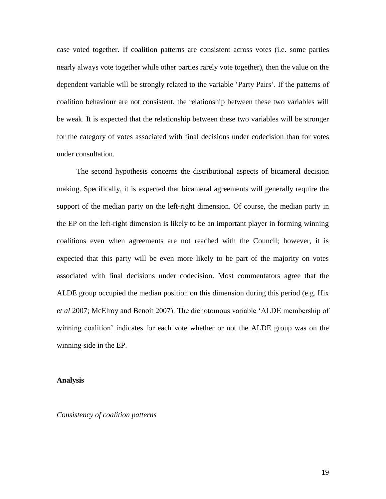case voted together. If coalition patterns are consistent across votes (i.e. some parties nearly always vote together while other parties rarely vote together), then the value on the dependent variable will be strongly related to the variable 'Party Pairs'. If the patterns of coalition behaviour are not consistent, the relationship between these two variables will be weak. It is expected that the relationship between these two variables will be stronger for the category of votes associated with final decisions under codecision than for votes under consultation.

The second hypothesis concerns the distributional aspects of bicameral decision making. Specifically, it is expected that bicameral agreements will generally require the support of the median party on the left-right dimension. Of course, the median party in the EP on the left-right dimension is likely to be an important player in forming winning coalitions even when agreements are not reached with the Council; however, it is expected that this party will be even more likely to be part of the majority on votes associated with final decisions under codecision. Most commentators agree that the ALDE group occupied the median position on this dimension during this period (e.g. Hix *et al* 2007; McElroy and Benoit 2007). The dichotomous variable 'ALDE membership of winning coalition' indicates for each vote whether or not the ALDE group was on the winning side in the EP.

## **Analysis**

*Consistency of coalition patterns*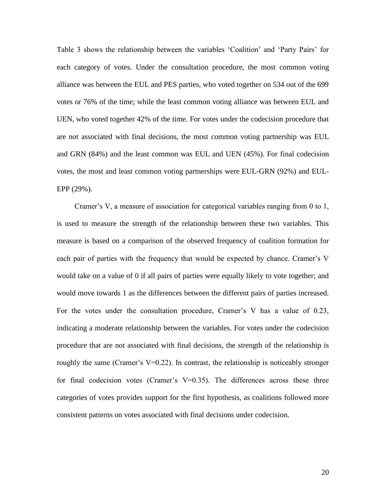Table 3 shows the relationship between the variables 'Coalition' and 'Party Pairs' for each category of votes. Under the consultation procedure, the most common voting alliance was between the EUL and PES parties, who voted together on 534 out of the 699 votes or 76% of the time; while the least common voting alliance was between EUL and UEN, who voted together 42% of the time. For votes under the codecision procedure that are not associated with final decisions, the most common voting partnership was EUL and GRN (84%) and the least common was EUL and UEN (45%). For final codecision votes, the most and least common voting partnerships were EUL-GRN (92%) and EUL-EPP (29%).

Cramer's V, a measure of association for categorical variables ranging from 0 to 1, is used to measure the strength of the relationship between these two variables. This measure is based on a comparison of the observed frequency of coalition formation for each pair of parties with the frequency that would be expected by chance. Cramer's V would take on a value of 0 if all pairs of parties were equally likely to vote together; and would move towards 1 as the differences between the different pairs of parties increased. For the votes under the consultation procedure, Cramer's V has a value of 0.23, indicating a moderate relationship between the variables. For votes under the codecision procedure that are not associated with final decisions, the strength of the relationship is roughly the same (Cramer's  $V=0.22$ ). In contrast, the relationship is noticeably stronger for final codecision votes (Cramer's  $V=0.35$ ). The differences across these three categories of votes provides support for the first hypothesis, as coalitions followed more consistent patterns on votes associated with final decisions under codecision.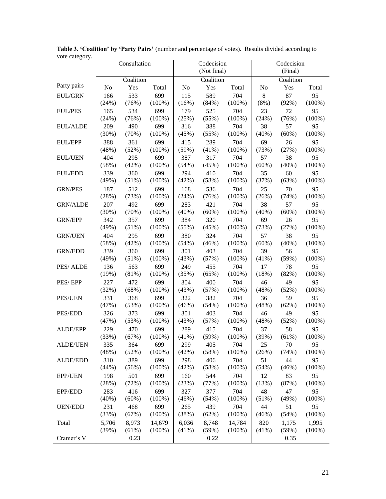| voie categoi y. | Consultation |           | Codecision<br>(Not final) |           |       | Codecision<br>(Final) |          |          |           |
|-----------------|--------------|-----------|---------------------------|-----------|-------|-----------------------|----------|----------|-----------|
|                 |              | Coalition |                           | Coalition |       | Coalition             |          |          |           |
| Party pairs     | No           | Yes       | Total                     | No        | Yes   | Total                 | No       | Yes      | Total     |
| EUL/GRN         | 166          | 533       | 699                       | 115       | 589   | 704                   | 8        | 87       | 95        |
|                 | (24%)        | (76%)     | $(100\%)$                 | (16%)     | (84%) | $(100\%)$             | (8%)     | (92%)    | $(100\%)$ |
| <b>EUL/PES</b>  | 165          | 534       | 699                       | 179       | 525   | 704                   | 23       | 72       | 95        |
|                 | (24%)        | (76%)     | $(100\%)$                 | (25%)     | (55%) | $(100\%)$             | (24%)    | (76%)    | $(100\%)$ |
| <b>EUL/ALDE</b> | 209          | 490       | 699                       | 316       | 388   | 704                   | 38       | 57       | 95        |
|                 | (30%)        | (70%)     | $(100\%)$                 | (45%)     | (55%) | $(100\%)$             | $(40\%)$ | (60%)    | $(100\%)$ |
| <b>EUL/EPP</b>  | 388          | 361       | 699                       | 415       | 289   | 704                   | 69       | 26       | 95        |
|                 | (48%)        | (52%)     | $(100\%)$                 | (59%)     | (41%) | $(100\%)$             | (73%)    | (27%)    | $(100\%)$ |
| <b>EUL/UEN</b>  | 404          | 295       | 699                       | 387       | 317   | 704                   | 57       | 38       | 95        |
|                 | (58%)        | (42%)     | $(100\%)$                 | (54%)     | (45%) | $(100\%)$             | (60%)    | $(40\%)$ | $(100\%)$ |
| <b>EUL/EDD</b>  | 339          | 360       | 699                       | 294       | 410   | 704                   | 35       | 60       | 95        |
|                 | (49%)        | (51%)     | $(100\%)$                 | (42%)     | (58%) | $(100\%)$             | (37%)    | (63%)    | $(100\%)$ |
| <b>GRN/PES</b>  | 187          | 512       | 699                       | 168       | 536   | 704                   | 25       | 70       | 95        |
|                 | (28%)        | (73%)     | $(100\%)$                 | (24%)     | (76%) | $(100\%)$             | (26%)    | (74%)    | $(100\%)$ |
| <b>GRN/ALDE</b> | 207          | 492       | 699                       | 283       | 421   | 704                   | 38       | 57       | 95        |
|                 | (30%)        | (70%)     | $(100\%)$                 | (40%)     | (60%) | $(100\%)$             | (40%)    | (60%)    | $(100\%)$ |
| <b>GRN/EPP</b>  | 342          | 357       | 699                       | 384       | 320   | 704                   | 69       | 26       | 95        |
|                 | (49%)        | (51%)     | $(100\%)$                 | (55%)     | (45%) | $(100\%)$             | (73%)    | (27%)    | $(100\%)$ |
| <b>GRN/UEN</b>  | 404          | 295       | 699                       | 380       | 324   | 704                   | 57       | 38       | 95        |
|                 | (58%)        | (42%)     | $(100\%)$                 | (54%)     | (46%) | $(100\%)$             | $(60\%)$ | $(40\%)$ | $(100\%)$ |
| <b>GRN/EDD</b>  | 339          | 360       | 699                       | 301       | 403   | 704                   | 39       | 56       | 95        |
|                 | (49%)        | (51%)     | $(100\%)$                 | (43%)     | (57%) | $(100\%)$             | $(41\%)$ | (59%)    | $(100\%)$ |
| PES/ALDE        | 136          | 563       | 699                       | 249       | 455   | 704                   | 17       | 78       | 95        |
|                 | (19%)        | (81%)     | $(100\%)$                 | (35%)     | (65%) | $(100\%)$             | (18%)    | (82%)    | $(100\%)$ |
| PES/EPP         | 227          | 472       | 699                       | 304       | 400   | 704                   | 46       | 49       | 95        |
|                 | (32%)        | (68%)     | $(100\%)$                 | (43%)     | (57%) | $(100\%)$             | (48%)    | (52%)    | $(100\%)$ |
| <b>PES/UEN</b>  | 331          | 368       | 699                       | 322       | 382   | 704                   | 36       | 59       | 95        |
|                 | (47%)        | (53%)     | $(100\%)$                 | (46%)     | (54%) | $(100\%)$             | (48%)    | (62%)    | $(100\%)$ |
| PES/EDD         | 326          | 373       | 699                       | 301       | 403   | 704                   | 46       | 49       | 95        |
|                 | (47%)        | (53%)     | $(100\%)$                 | (43%)     | (57%) | $(100\%)$             | (48%)    | (52%)    | $(100\%)$ |
| ALDE/EPP        | 229          | 470       | 699                       | 289       | 415   | 704                   | 37       | 58       | 95        |
|                 | (33%)        | (67%)     | $(100\%)$                 | (41%)     | (59%) | $(100\%)$             | (39%)    | (61%)    | $(100\%)$ |
| <b>ALDE/UEN</b> | 335          | 364       | 699                       | 299       | 405   | 704                   | 25       | 70       | 95        |
|                 | (48%)        | (52%)     | $(100\%)$                 | (42%)     | (58%) | $(100\%)$             | (26%)    | (74%)    | $(100\%)$ |
| ALDE/EDD        | 310          | 389       | 699                       | 298       | 406   | 704                   | 51       | 44       | 95        |
|                 | (44%)        | (56%)     | $(100\%)$                 | (42%)     | (58%) | $(100\%)$             | (54%)    | (46%)    | $(100\%)$ |
| <b>EPP/UEN</b>  | 198          | 501       | 699                       | 160       | 544   | 704                   | 12       | 83       | 95        |
|                 | (28%)        | (72%)     | $(100\%)$                 | (23%)     | (77%) | $(100\%)$             | (13%)    | (87%)    | $(100\%)$ |
| EPP/EDD         | 283          | 416       | 699                       | 327       | 377   | 704                   | 48       | 47       | 95        |
|                 | (40%)        | (60%)     | $(100\%)$                 | (46%)     | (54%) | $(100\%)$             | (51%)    | (49%)    | $(100\%)$ |
| <b>UEN/EDD</b>  | 231          | 468       | 699                       | 265       | 439   | 704                   | 44       | 51       | 95        |
|                 | (33%)        | (67%)     | $(100\%)$                 | (38%)     | (62%) | $(100\%)$             | (46%)    | (54%)    | $(100\%)$ |
| Total           | 5,706        | 8,973     | 14,679                    | 6,036     | 8,748 | 14,784                | 820      | 1,175    | 1,995     |
|                 | (39%)        | (61%)     | $(100\%)$                 | (41%)     | (59%) | $(100\%)$             | $(41\%)$ | (59%)    | $(100\%)$ |
| Cramer's V      |              | 0.23      |                           |           | 0.22  |                       |          | 0.35     |           |

**Table 3. 'Coalition' by 'Party Pairs'** (number and percentage of votes). Results divided according to vote category.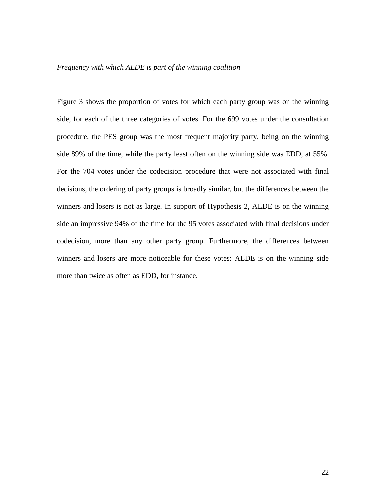#### *Frequency with which ALDE is part of the winning coalition*

Figure 3 shows the proportion of votes for which each party group was on the winning side, for each of the three categories of votes. For the 699 votes under the consultation procedure, the PES group was the most frequent majority party, being on the winning side 89% of the time, while the party least often on the winning side was EDD, at 55%. For the 704 votes under the codecision procedure that were not associated with final decisions, the ordering of party groups is broadly similar, but the differences between the winners and losers is not as large. In support of Hypothesis 2, ALDE is on the winning side an impressive 94% of the time for the 95 votes associated with final decisions under codecision, more than any other party group. Furthermore, the differences between winners and losers are more noticeable for these votes: ALDE is on the winning side more than twice as often as EDD, for instance.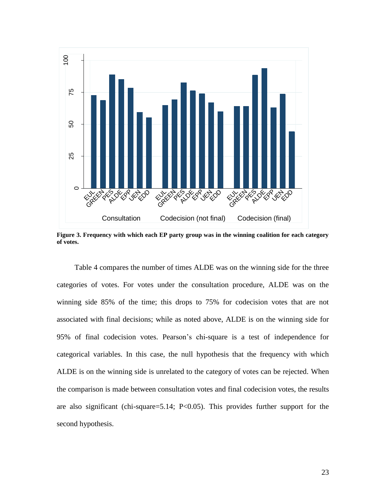

**Figure 3. Frequency with which each EP party group was in the winning coalition for each category of votes.**

Table 4 compares the number of times ALDE was on the winning side for the three categories of votes. For votes under the consultation procedure, ALDE was on the winning side 85% of the time; this drops to 75% for codecision votes that are not associated with final decisions; while as noted above, ALDE is on the winning side for 95% of final codecision votes. Pearson's chi-square is a test of independence for categorical variables. In this case, the null hypothesis that the frequency with which ALDE is on the winning side is unrelated to the category of votes can be rejected. When the comparison is made between consultation votes and final codecision votes, the results are also significant (chi-square=5.14; P<0.05). This provides further support for the second hypothesis.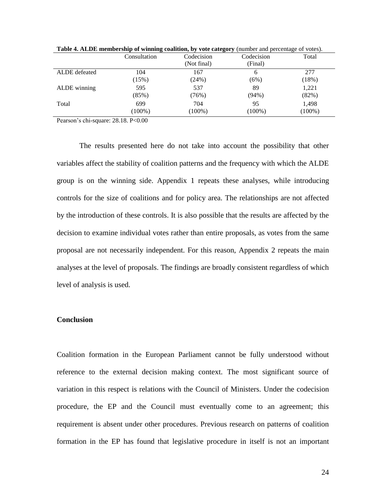|               | $\bullet$<br>Consultation | Codecision<br>(Not final) | $\sim$ $\sim$ $\sim$<br>Codecision<br>(Final) | Total              |
|---------------|---------------------------|---------------------------|-----------------------------------------------|--------------------|
| ALDE defeated | 104                       | 167                       | 6                                             | 277                |
|               | (15%)                     | (24%)                     | (6%)                                          | (18%)              |
| ALDE winning  | 595                       | 537                       | 89                                            | 1,221              |
|               | (85%)                     | (76%)                     | $(94\%)$                                      | (82%)              |
| Total         | 699<br>$(100\%)$          | 704<br>$(100\%)$          | 95<br>$(100\%)$                               | 1,498<br>$(100\%)$ |

**Table 4. ALDE membership of winning coalition, by vote category** (number and percentage of votes).

Pearson's chi-square: 28.18. P<0.00

The results presented here do not take into account the possibility that other variables affect the stability of coalition patterns and the frequency with which the ALDE group is on the winning side. Appendix 1 repeats these analyses, while introducing controls for the size of coalitions and for policy area. The relationships are not affected by the introduction of these controls. It is also possible that the results are affected by the decision to examine individual votes rather than entire proposals, as votes from the same proposal are not necessarily independent. For this reason, Appendix 2 repeats the main analyses at the level of proposals. The findings are broadly consistent regardless of which level of analysis is used.

## **Conclusion**

Coalition formation in the European Parliament cannot be fully understood without reference to the external decision making context. The most significant source of variation in this respect is relations with the Council of Ministers. Under the codecision procedure, the EP and the Council must eventually come to an agreement; this requirement is absent under other procedures. Previous research on patterns of coalition formation in the EP has found that legislative procedure in itself is not an important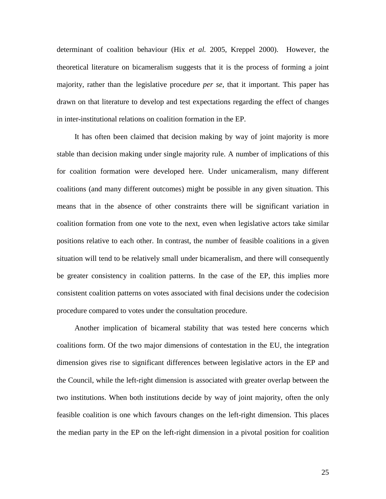determinant of coalition behaviour (Hix *et al.* 2005, Kreppel 2000). However, the theoretical literature on bicameralism suggests that it is the process of forming a joint majority, rather than the legislative procedure *per se*, that it important. This paper has drawn on that literature to develop and test expectations regarding the effect of changes in inter-institutional relations on coalition formation in the EP.

It has often been claimed that decision making by way of joint majority is more stable than decision making under single majority rule. A number of implications of this for coalition formation were developed here. Under unicameralism, many different coalitions (and many different outcomes) might be possible in any given situation. This means that in the absence of other constraints there will be significant variation in coalition formation from one vote to the next, even when legislative actors take similar positions relative to each other. In contrast, the number of feasible coalitions in a given situation will tend to be relatively small under bicameralism, and there will consequently be greater consistency in coalition patterns. In the case of the EP, this implies more consistent coalition patterns on votes associated with final decisions under the codecision procedure compared to votes under the consultation procedure.

Another implication of bicameral stability that was tested here concerns which coalitions form. Of the two major dimensions of contestation in the EU, the integration dimension gives rise to significant differences between legislative actors in the EP and the Council, while the left-right dimension is associated with greater overlap between the two institutions. When both institutions decide by way of joint majority, often the only feasible coalition is one which favours changes on the left-right dimension. This places the median party in the EP on the left-right dimension in a pivotal position for coalition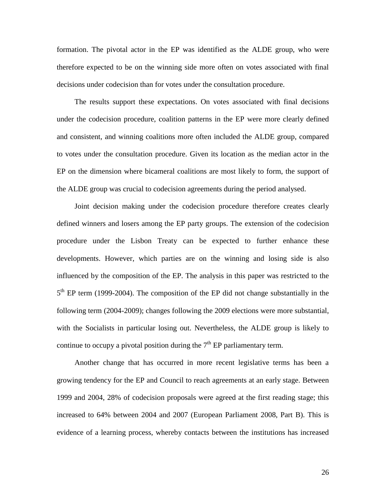formation. The pivotal actor in the EP was identified as the ALDE group, who were therefore expected to be on the winning side more often on votes associated with final decisions under codecision than for votes under the consultation procedure.

The results support these expectations. On votes associated with final decisions under the codecision procedure, coalition patterns in the EP were more clearly defined and consistent, and winning coalitions more often included the ALDE group, compared to votes under the consultation procedure. Given its location as the median actor in the EP on the dimension where bicameral coalitions are most likely to form, the support of the ALDE group was crucial to codecision agreements during the period analysed.

Joint decision making under the codecision procedure therefore creates clearly defined winners and losers among the EP party groups. The extension of the codecision procedure under the Lisbon Treaty can be expected to further enhance these developments. However, which parties are on the winning and losing side is also influenced by the composition of the EP. The analysis in this paper was restricted to the 5<sup>th</sup> EP term (1999-2004). The composition of the EP did not change substantially in the following term (2004-2009); changes following the 2009 elections were more substantial, with the Socialists in particular losing out. Nevertheless, the ALDE group is likely to continue to occupy a pivotal position during the  $7<sup>th</sup>$  EP parliamentary term.

Another change that has occurred in more recent legislative terms has been a growing tendency for the EP and Council to reach agreements at an early stage. Between 1999 and 2004, 28% of codecision proposals were agreed at the first reading stage; this increased to 64% between 2004 and 2007 (European Parliament 2008, Part B). This is evidence of a learning process, whereby contacts between the institutions has increased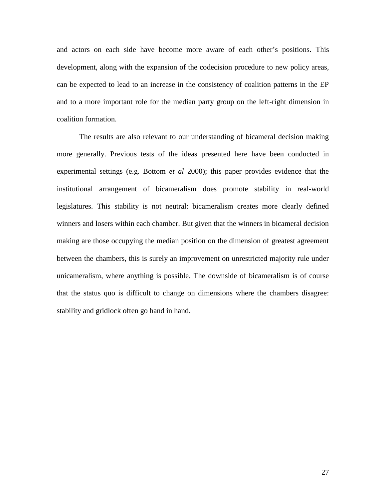and actors on each side have become more aware of each other's positions. This development, along with the expansion of the codecision procedure to new policy areas, can be expected to lead to an increase in the consistency of coalition patterns in the EP and to a more important role for the median party group on the left-right dimension in coalition formation.

The results are also relevant to our understanding of bicameral decision making more generally. Previous tests of the ideas presented here have been conducted in experimental settings (e.g. Bottom *et al* 2000); this paper provides evidence that the institutional arrangement of bicameralism does promote stability in real-world legislatures. This stability is not neutral: bicameralism creates more clearly defined winners and losers within each chamber. But given that the winners in bicameral decision making are those occupying the median position on the dimension of greatest agreement between the chambers, this is surely an improvement on unrestricted majority rule under unicameralism, where anything is possible. The downside of bicameralism is of course that the status quo is difficult to change on dimensions where the chambers disagree: stability and gridlock often go hand in hand.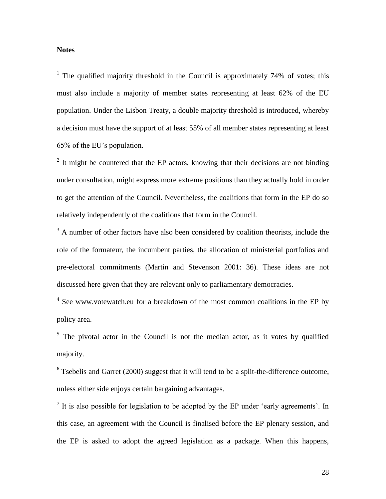## **Notes**

<sup>1</sup> The qualified majority threshold in the Council is approximately 74% of votes; this must also include a majority of member states representing at least 62% of the EU population. Under the Lisbon Treaty, a double majority threshold is introduced, whereby a decision must have the support of at least 55% of all member states representing at least 65% of the EU's population.

 $2$  It might be countered that the EP actors, knowing that their decisions are not binding under consultation, might express more extreme positions than they actually hold in order to get the attention of the Council. Nevertheless, the coalitions that form in the EP do so relatively independently of the coalitions that form in the Council.

 $3$  A number of other factors have also been considered by coalition theorists, include the role of the formateur, the incumbent parties, the allocation of ministerial portfolios and pre-electoral commitments (Martin and Stevenson 2001: 36). These ideas are not discussed here given that they are relevant only to parliamentary democracies.

 $4$  See www.votewatch.eu for a breakdown of the most common coalitions in the EP by policy area.

 $5$  The pivotal actor in the Council is not the median actor, as it votes by qualified majority.

 $6$  Tsebelis and Garret (2000) suggest that it will tend to be a split-the-difference outcome, unless either side enjoys certain bargaining advantages.

 $<sup>7</sup>$  It is also possible for legislation to be adopted by the EP under 'early agreements'. In</sup> this case, an agreement with the Council is finalised before the EP plenary session, and the EP is asked to adopt the agreed legislation as a package. When this happens,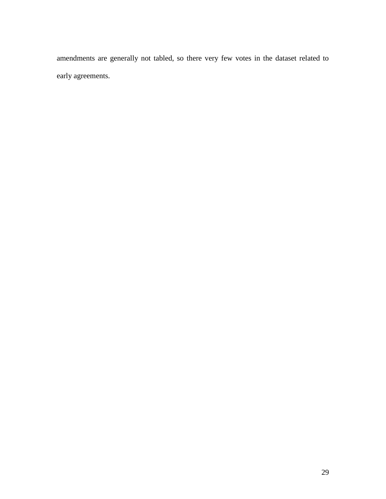amendments are generally not tabled, so there very few votes in the dataset related to early agreements.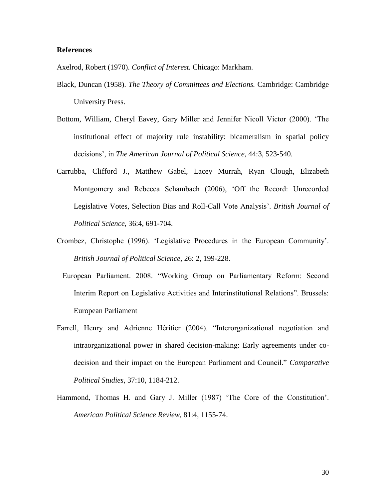### **References**

Axelrod, Robert (1970). *Conflict of Interest.* Chicago: Markham.

- Black, Duncan (1958). *The Theory of Committees and Elections.* Cambridge: Cambridge University Press.
- Bottom, William, Cheryl Eavey, Gary Miller and Jennifer Nicoll Victor (2000). 'The institutional effect of majority rule instability: bicameralism in spatial policy decisions', in *The American Journal of Political Science*, 44:3, 523-540.
- Carrubba, Clifford J., Matthew Gabel, Lacey Murrah, Ryan Clough, Elizabeth Montgomery and Rebecca Schambach (2006), 'Off the Record: Unrecorded Legislative Votes, Selection Bias and Roll-Call Vote Analysis'. *British Journal of Political Science*, 36:4, 691-704.
- Crombez, Christophe (1996). 'Legislative Procedures in the European Community'. *British Journal of Political Science,* 26: 2, 199-228.
- European Parliament. 2008. "Working Group on Parliamentary Reform: Second Interim Report on Legislative Activities and Interinstitutional Relations". Brussels: European Parliament
- Farrell, Henry and Adrienne Héritier (2004). "Interorganizational negotiation and intraorganizational power in shared decision-making: Early agreements under codecision and their impact on the European Parliament and Council." *Comparative Political Studies,* 37:10, 1184-212.
- Hammond, Thomas H. and Gary J. Miller (1987) 'The Core of the Constitution'. *American Political Science Review,* 81:4, 1155-74.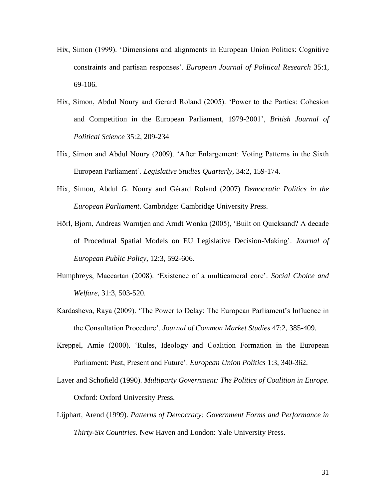- Hix, Simon (1999). 'Dimensions and alignments in European Union Politics: Cognitive constraints and partisan responses'. *European Journal of Political Research* 35:1, 69-106.
- Hix, Simon, Abdul Noury and Gerard Roland (2005). 'Power to the Parties: Cohesion and Competition in the European Parliament, 1979-2001', *British Journal of Political Science* 35:2, 209-234
- Hix, Simon and Abdul Noury (2009). 'After Enlargement: Voting Patterns in the Sixth European Parliament'. *Legislative Studies Quarterly,* 34:2, 159-174.
- Hix, Simon, Abdul G. Noury and Gérard Roland (2007) *Democratic Politics in the European Parliament*. Cambridge: Cambridge University Press.
- Hörl, Bjorn, Andreas Warntjen and Arndt Wonka (2005), 'Built on Quicksand? A decade of Procedural Spatial Models on EU Legislative Decision-Making'. *Journal of European Public Policy*, 12:3, 592-606.
- Humphreys, Maccartan (2008). 'Existence of a multicameral core'. *Social Choice and Welfare*, 31:3, 503-520.
- Kardasheva, Raya (2009). 'The Power to Delay: The European Parliament's Influence in the Consultation Procedure'. *Journal of Common Market Studies* 47:2, 385-409.
- Kreppel, Amie (2000). 'Rules, Ideology and Coalition Formation in the European Parliament: Past, Present and Future'. *European Union Politics* 1:3, 340-362.
- Laver and Schofield (1990). *Multiparty Government: The Politics of Coalition in Europe.*  Oxford: Oxford University Press.
- Lijphart, Arend (1999). *Patterns of Democracy: Government Forms and Performance in Thirty-Six Countries.* New Haven and London: Yale University Press.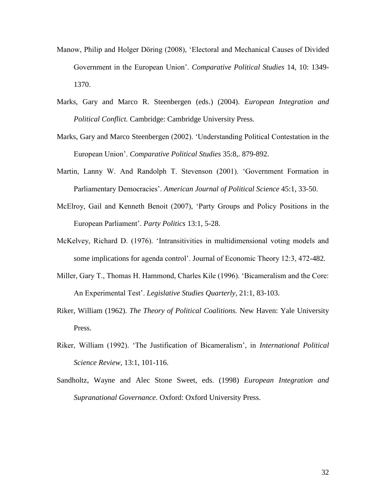- Manow, Philip and Holger Döring (2008), 'Electoral and Mechanical Causes of Divided Government in the European Union'. *Comparative Political Studies* 14, 10: 1349- 1370.
- Marks, Gary and Marco R. Steenbergen (eds.) (2004). *European Integration and Political Conflict.* Cambridge: Cambridge University Press.
- Marks, Gary and Marco Steenbergen (2002). 'Understanding Political Contestation in the European Union'. *Comparative Political Studies* 35:8,. 879-892.
- Martin, Lanny W. And Randolph T. Stevenson (2001). 'Government Formation in Parliamentary Democracies'. *American Journal of Political Science* 45:1, 33-50.
- McElroy, Gail and Kenneth Benoit (2007), 'Party Groups and Policy Positions in the European Parliament'. *Party Politics* 13:1, 5-28.
- McKelvey, Richard D. (1976). 'Intransitivities in multidimensional voting models and some implications for agenda control'. Journal of Economic Theory 12:3, 472-482.
- Miller, Gary T., Thomas H. Hammond, Charles Kile (1996). 'Bicameralism and the Core: An Experimental Test'. *Legislative Studies Quarterly,* 21:1, 83-103.
- Riker, William (1962). *The Theory of Political Coalitions.* New Haven: Yale University Press.
- Riker, William (1992). 'The Justification of Bicameralism', in *International Political Science Review,* 13:1, 101-116.
- Sandholtz, Wayne and Alec Stone Sweet, eds. (1998) *European Integration and Supranational Governance*. Oxford: Oxford University Press.